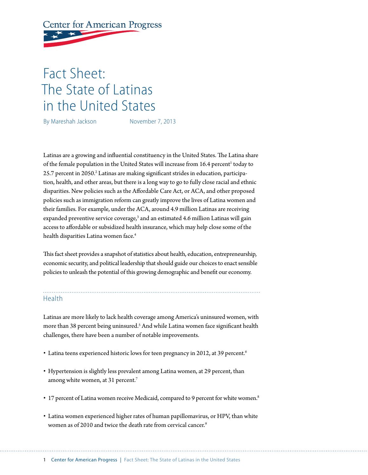# **Center for American Progress**

# Fact Sheet: The State of Latinas in the United States

By Mareshah Jackson November 7, 2013

Latinas are a growing and influential constituency in the United States. The Latina share of the female population in the United States will increase from 16.4 percent<sup>1</sup> today to  $25.7$  percent in  $2050.^2$  Latinas are making significant strides in education, participation, health, and other areas, but there is a long way to go to fully close racial and ethnic disparities. New policies such as the Affordable Care Act, or ACA, and other proposed policies such as immigration reform can greatly improve the lives of Latina women and their families. For example, under the ACA, around 4.9 million Latinas are receiving expanded preventive service coverage,<sup>3</sup> and an estimated 4.6 million Latinas will gain access to affordable or subsidized health insurance, which may help close some of the health disparities Latina women face.<sup>4</sup>

This fact sheet provides a snapshot of statistics about health, education, entrepreneurship, economic security, and political leadership that should guide our choices to enact sensible policies to unleash the potential of this growing demographic and benefit our economy.

## Health

Latinas are more likely to lack health coverage among America's uninsured women, with more than 38 percent being uninsured.<sup>5</sup> And while Latina women face significant health challenges, there have been a number of notable improvements.

- Latina teens experienced historic lows for teen pregnancy in 2012, at 39 percent.<sup>6</sup>
- Hypertension is slightly less prevalent among Latina women, at 29 percent, than among white women, at 31 percent.<sup>7</sup>
- 17 percent of Latina women receive Medicaid, compared to 9 percent for white women.<sup>8</sup>
- Latina women experienced higher rates of human papillomavirus, or HPV, than white women as of 2010 and twice the death rate from cervical cancer.<sup>9</sup>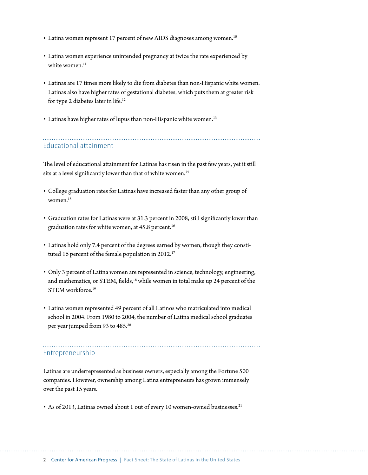- Latina women represent 17 percent of new AIDS diagnoses among women.<sup>10</sup>
- Latina women experience unintended pregnancy at twice the rate experienced by white women. $11$
- Latinas are 17 times more likely to die from diabetes than non-Hispanic white women. Latinas also have higher rates of gestational diabetes, which puts them at greater risk for type 2 diabetes later in life.12
- Latinas have higher rates of lupus than non-Hispanic white women.<sup>13</sup>

### Educational attainment

The level of educational attainment for Latinas has risen in the past few years, yet it still sits at a level significantly lower than that of white women.<sup>14</sup>

- College graduation rates for Latinas have increased faster than any other group of women<sup>15</sup>
- Graduation rates for Latinas were at 31.3 percent in 2008, still significantly lower than graduation rates for white women, at 45.8 percent.<sup>16</sup>
- Latinas hold only 7.4 percent of the degrees earned by women, though they constituted 16 percent of the female population in 2012.<sup>17</sup>
- Only 3 percent of Latina women are represented in science, technology, engineering, and mathematics, or STEM, fields,<sup>18</sup> while women in total make up 24 percent of the STEM workforce.19
- Latina women represented 49 percent of all Latinos who matriculated into medical school in 2004. From 1980 to 2004, the number of Latina medical school graduates per year jumped from 93 to 485.<sup>20</sup>

### Entrepreneurship

Latinas are underrepresented as business owners, especially among the Fortune 500 companies. However, ownership among Latina entrepreneurs has grown immensely over the past 15 years.

• As of 2013, Latinas owned about 1 out of every 10 women-owned businesses.<sup>21</sup>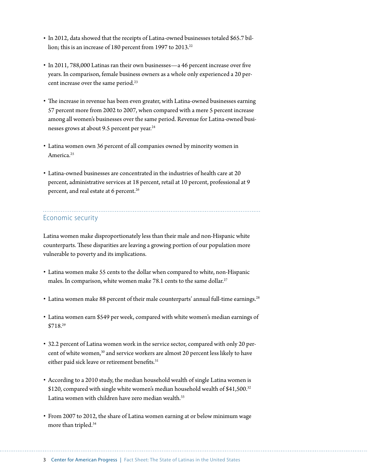- In 2012, data showed that the receipts of Latina-owned businesses totaled \$65.7 billion; this is an increase of 180 percent from 1997 to 2013.<sup>22</sup>
- In 2011, 788,000 Latinas ran their own businesses—a 46 percent increase over five years. In comparison, female business owners as a whole only experienced a 20 percent increase over the same period.<sup>23</sup>
- The increase in revenue has been even greater, with Latina-owned businesses earning 57 percent more from 2002 to 2007, when compared with a mere 5 percent increase among all women's businesses over the same period. Revenue for Latina-owned businesses grows at about 9.5 percent per year.<sup>24</sup>
- Latina women own 36 percent of all companies owned by minority women in America.<sup>25</sup>
- Latina-owned businesses are concentrated in the industries of health care at 20 percent, administrative services at 18 percent, retail at 10 percent, professional at 9 percent, and real estate at 6 percent.<sup>26</sup>

#### Economic security

Latina women make disproportionately less than their male and non-Hispanic white counterparts. These disparities are leaving a growing portion of our population more vulnerable to poverty and its implications.

- Latina women make 55 cents to the dollar when compared to white, non-Hispanic males. In comparison, white women make 78.1 cents to the same dollar.<sup>27</sup>
- Latina women make 88 percent of their male counterparts' annual full-time earnings.<sup>28</sup>
- Latina women earn \$549 per week, compared with white women's median earnings of \$718.29
- 32.2 percent of Latina women work in the service sector, compared with only 20 percent of white women,<sup>30</sup> and service workers are almost 20 percent less likely to have either paid sick leave or retirement benefits.<sup>31</sup>
- According to a 2010 study, the median household wealth of single Latina women is \$120, compared with single white women's median household wealth of \$41,500.<sup>32</sup> Latina women with children have zero median wealth.<sup>33</sup>
- From 2007 to 2012, the share of Latina women earning at or below minimum wage more than tripled.34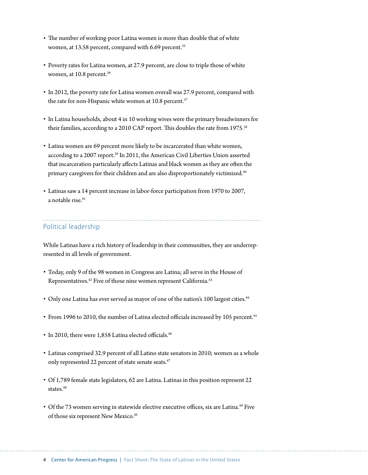- The number of working-poor Latina women is more than double that of white women, at 13.58 percent, compared with 6.69 percent.<sup>35</sup>
- Poverty rates for Latina women, at 27.9 percent, are close to triple those of white women, at 10.8 percent.<sup>36</sup>
- In 2012, the poverty rate for Latina women overall was 27.9 percent, compared with the rate for non-Hispanic white women at 10.8 percent.<sup>37</sup>
- In Latina households, about 4 in 10 working wives were the primary breadwinners for their families, according to a 2010 CAP report. This doubles the rate from 1975.<sup>38</sup>
- Latina women are 69 percent more likely to be incarcerated than white women, according to a 2007 report.<sup>39</sup> In 2011, the American Civil Liberties Union asserted that incarceration particularly affects Latinas and black women as they are often the primary caregivers for their children and are also disproportionately victimized.<sup>40</sup>
- Latinas saw a 14 percent increase in labor-force participation from 1970 to 2007, a notable rise  $41$

### Political leadership

While Latinas have a rich history of leadership in their communities, they are underrepresented in all levels of government.

- Today, only 9 of the 98 women in Congress are Latina; all serve in the House of Representatives.<sup>42</sup> Five of those nine women represent California.<sup>43</sup>
- Only one Latina has ever served as mayor of one of the nation's 100 largest cities.<sup>44</sup>
- From 1996 to 2010, the number of Latina elected officials increased by 105 percent.<sup>45</sup>
- In 2010, there were 1,858 Latina elected officials.<sup>46</sup>
- Latinas comprised 32.9 percent of all Latino state senators in 2010; women as a whole only represented 22 percent of state senate seats.<sup>47</sup>
- Of 1,789 female state legislators, 62 are Latina. Latinas in this position represent 22 states $48$
- Of the 73 women serving in statewide elective executive offices, six are Latina.<sup>49</sup> Five of those six represent New Mexico.<sup>50</sup>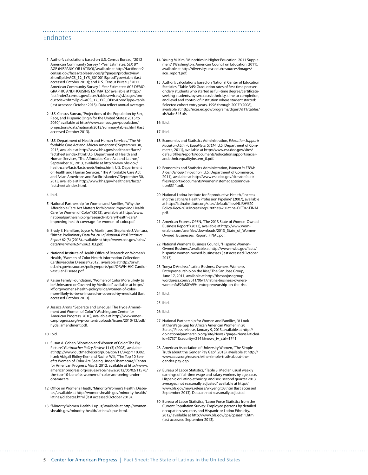#### Endnotes

- 1 Author's calculations based on U.S. Census Bureau, "2012 American Community Survey 1-Year Estimates: SEX BY AGE (HISPANIC OR LATINO)," available at [http://factfinder2.](http://factfinder2.census.gov/faces/tableservices/jsf/pages/productview.xhtml?pid=ACS_12_1YR_B01001I&prodType=table) [census.gov/faces/tableservices/jsf/pages/productview.](http://factfinder2.census.gov/faces/tableservices/jsf/pages/productview.xhtml?pid=ACS_12_1YR_B01001I&prodType=table) [xhtml?pid=ACS\\_12\\_1YR\\_B01001I&prodType=table](http://factfinder2.census.gov/faces/tableservices/jsf/pages/productview.xhtml?pid=ACS_12_1YR_B01001I&prodType=table) (last accessed October 2013); and U.S. Census Bureau, "2012 American Community Survey 1-Year Estimates: ACS DEMO-GRAPHIC AND HOUSING ESTIMATES," available at [http://](http://factfinder2.census.gov/faces/tableservices/jsf/pages/productview.xhtml?pid=ACS_12_1YR_DP05&prodType=table) [factfinder2.census.gov/faces/tableservices/jsf/pages/pro](http://factfinder2.census.gov/faces/tableservices/jsf/pages/productview.xhtml?pid=ACS_12_1YR_DP05&prodType=table)[ductview.xhtml?pid=ACS\\_12\\_1YR\\_DP05&prodType=table](http://factfinder2.census.gov/faces/tableservices/jsf/pages/productview.xhtml?pid=ACS_12_1YR_DP05&prodType=table) (last accessed October 2013). Data reflect annual averages.
- 2 U.S. Census Bureau, "Projections of the Population by Sex, Race, and Hispanic Origin for the United States: 2015 to 2060," available at [http://www.census.gov/population/](http://www.census.gov/population/projections/data/national/2012/summarytables.html) [projections/data/national/2012/summarytables.html](http://www.census.gov/population/projections/data/national/2012/summarytables.html) (last accessed October 2013).
- 3 U.S. Department of Health and Human Services, "The Affordable Care Act and African Americans," September 30, 2013, available at [http://www.hhs.gov/healthcare/facts/](http://www.hhs.gov/healthcare/facts/factsheets/index.html) [factsheets/index.html;](http://www.hhs.gov/healthcare/facts/factsheets/index.html) U.S. Department of Health and Human Services, "The Affordable Care Act and Latinos," September 30, 2013, available at [http://www.hhs.gov/](http://www.hhs.gov/healthcare/facts/factsheets/index.html) [healthcare/facts/factsheets/index.html;](http://www.hhs.gov/healthcare/facts/factsheets/index.html) U.S. Department of Health and Human Services, "The Affordable Care Act and Asian Americans and Pacific Islanders," September 30, 2013, available at [http://www.hhs.gov/healthcare/facts/](http://www.hhs.gov/healthcare/facts/factsheets/index.html) [factsheets/index.html.](http://www.hhs.gov/healthcare/facts/factsheets/index.html)
- 4 Ibid.
- 5 National Partnership for Women and Families, "Why the Affordable Care Act Matters for Women: Improving Health Care for Women of Color" (2013), available at [http://www.](http://www.nationalpartnership.org/research-library/health-care/improving-health-coverage-for-women-of-color.pdf) [nationalpartnership.org/research-library/health-care/](http://www.nationalpartnership.org/research-library/health-care/improving-health-coverage-for-women-of-color.pdf) [improving-health-coverage-for-women-of-color.pdf.](http://www.nationalpartnership.org/research-library/health-care/improving-health-coverage-for-women-of-color.pdf)
- 6 Brady E. Hamilton, Joyce A. Martin, and Stephanie J. Ventura, "Births: Preliminary Data for 2012," *National Vital Statistics Report* 62 (3) (2013), available at [http://www.cdc.gov/nchs/](http://www.cdc.gov/nchs/data/nvsr/nvsr62/nvsr62_03.pdf) [data/nvsr/nvsr62/nvsr62\\_03.pdf](http://www.cdc.gov/nchs/data/nvsr/nvsr62/nvsr62_03.pdf).
- 7 National Institute of Health Office of Research on Women's Health, "Women of Color Health Information Collection: Cardiovascular Disease" (2012), available at [http://orwh.](http://orwh.od.nih.gov/resources/policyreports/pdf/ORWH-HIC-Cardiovascular-Disease.pdf) [od.nih.gov/resources/policyreports/pdf/ORWH-HIC-Cardio](http://orwh.od.nih.gov/resources/policyreports/pdf/ORWH-HIC-Cardiovascular-Disease.pdf)[vascular-Disease.pdf](http://orwh.od.nih.gov/resources/policyreports/pdf/ORWH-HIC-Cardiovascular-Disease.pdf).
- 8 Kaiser Family Foundation, "Women of Color More Likely to be Uninsured or Covered by Medicaid," available at [http://](http://kff.org/womens-health-policy/slide/women-of-color-more-likely-to-be-uninsured-or-covered-by-medicaid) [kff.org/womens-health-policy/slide/women-of-color](http://kff.org/womens-health-policy/slide/women-of-color-more-likely-to-be-uninsured-or-covered-by-medicaid)[more-likely-to-be-uninsured-or-covered-by-medicaid](http://kff.org/womens-health-policy/slide/women-of-color-more-likely-to-be-uninsured-or-covered-by-medicaid) (last accessed October 2013).
- 9 Jessica Arons, "Separate and Unequal: The Hyde Amendment and Women of Color" (Washington: Center for American Progress, 2010), available at [http://www.ameri](http://www.americanprogress.org/wp-content/uploads/issues/2010/12/pdf/hyde_amendment.pdf)[canprogress.org/wp-content/uploads/issues/2010/12/pdf/](http://www.americanprogress.org/wp-content/uploads/issues/2010/12/pdf/hyde_amendment.pdf) [hyde\\_amendment.pdf.](http://www.americanprogress.org/wp-content/uploads/issues/2010/12/pdf/hyde_amendment.pdf)
- 10 Ibid.
- 11 Susan A. Cohen, "Abortion and Women of Color: The Big Picture," *Guttmacher Policy Review* 11 (3) (2008), available at [http://www.guttmacher.org/pubs/gpr/11/3/gpr110302.](http://www.guttmacher.org/pubs/gpr/11/3/gpr110302.html) [html;](http://www.guttmacher.org/pubs/gpr/11/3/gpr110302.html) Abigail Ridley-Kerr and Rachel Wilf, "The Top 10 Benefits Women of Color Are Seeing Under Obamacare," Center for American Progress, May 2, 2012, available at [http://www.](http://www.americanprogress.org/issues/race/news/2012/05/02/11570/the-top-10-benefits-women-of-color-are-seeing-under-obamacare) [americanprogress.org/issues/race/news/2012/05/02/11570/](http://www.americanprogress.org/issues/race/news/2012/05/02/11570/the-top-10-benefits-women-of-color-are-seeing-under-obamacare) [the-top-10-benefits-women-of-color-are-seeing-under](http://www.americanprogress.org/issues/race/news/2012/05/02/11570/the-top-10-benefits-women-of-color-are-seeing-under-obamacare)[obamacare](http://www.americanprogress.org/issues/race/news/2012/05/02/11570/the-top-10-benefits-women-of-color-are-seeing-under-obamacare).
- 12 Office on Women's Heath, "Minority Women's Health: Diabetes," available at [http://womenshealth.gov/minority-health/](http://womenshealth.gov/minority-health/latinas/diabetes.html) [latinas/diabetes.html](http://womenshealth.gov/minority-health/latinas/diabetes.html) (last accessed October 2013).
- 13 "Minority Women Health: Lupus," available at [http://women](http://womenshealth.gov/minority-health/latinas/lupus.html)[shealth.gov/minority-health/latinas/lupus.html](http://womenshealth.gov/minority-health/latinas/lupus.html).
- 14 Young M. Kim, "Minorities in Higher Education, 2011 Supplement" (Washington: American Council on Education, 2011), available at [http://diversity.ucsc.edu/resources/images/](http://diversity.ucsc.edu/resources/images/ace_report.pdf) [ace\\_report.pdf](http://diversity.ucsc.edu/resources/images/ace_report.pdf).
- 15 Author's calculations based on National Center of Education Statistics, "Table 345: Graduation rates of first-time postsecondary students who started as full-time degree/certificateseeking students, by sex, race/ethnicity, time to completion, and level and control of institution where student started: Selected cohort entry years, 1996 through 2007" (2008), available at [http://nces.ed.gov/programs/digest/d11/tables/](http://nces.ed.gov/programs/digest/d11/tables/xls/tabn345.xls) [xls/tabn345.xls](http://nces.ed.gov/programs/digest/d11/tables/xls/tabn345.xls).
- 16 Ibid.

- 18 Economics and Statistics Administration, *Education Supports Racial and Ethnic Equality in STEM* (U.S. Department of Commerce, 2011), available at [http://www.esa.doc.gov/sites/](http://www.esa.doc.gov/sites/default/files/reports/documents/educationsupportsracialandethnicequalityinstem_0.pdf) [default/files/reports/documents/educationsupportsracial](http://www.esa.doc.gov/sites/default/files/reports/documents/educationsupportsracialandethnicequalityinstem_0.pdf)[andethnicequalityinstem\\_0.pdf](http://www.esa.doc.gov/sites/default/files/reports/documents/educationsupportsracialandethnicequalityinstem_0.pdf).
- 19 Economics and Statistics Administration, *Women in STEM: A Gender Gap Innovation* (U.S. Department of Commerce, 2011), available at [http://www.esa.doc.gov/sites/default/](http://www.esa.doc.gov/sites/default/files/reports/documents/womeninstemagaptoinnovation8311.pdf) [files/reports/documents/womeninstemagaptoinnova](http://www.esa.doc.gov/sites/default/files/reports/documents/womeninstemagaptoinnovation8311.pdf)[tion8311.pdf.](http://www.esa.doc.gov/sites/default/files/reports/documents/womeninstemagaptoinnovation8311.pdf)
- 20 National Latina Institute for Reproductive Health, "Increasing the Latina/o Health Profession Pipeline" (2007), available at [http://latinainstitute.org/sites/default/files/NLIRH%20](http://latinainstitute.org/sites/default/files/NLIRH%20Policy-Rec6-%20Increasing%20the%20Latina-OCT07-FINAL.pdf) [Policy-Rec6-%20Increasing%20the%20Latina-OCT07-FINAL.](http://latinainstitute.org/sites/default/files/NLIRH%20Policy-Rec6-%20Increasing%20the%20Latina-OCT07-FINAL.pdf) [pdf](http://latinainstitute.org/sites/default/files/NLIRH%20Policy-Rec6-%20Increasing%20the%20Latina-OCT07-FINAL.pdf).
- 21 American Express OPEN, "The 2013 State of Women-Owned Business Report" (2013), available at [http://www.wom](http://www.womenable.com/userfiles/downloads/2013_State_of_Women-Owned_Businesses_Report_FINAL.pdf)[enable.com/userfiles/downloads/2013\\_State\\_of\\_Women-](http://www.womenable.com/userfiles/downloads/2013_State_of_Women-Owned_Businesses_Report_FINAL.pdf)[Owned\\_Businesses\\_Report\\_FINAL.pdf.](http://www.womenable.com/userfiles/downloads/2013_State_of_Women-Owned_Businesses_Report_FINAL.pdf)
- 22 National Women's Business Council, "Hispanic Women-Owned Business," available at [http://www.nwbc.gov/facts/](http://www.nwbc.gov/facts/hispanic-women-owned-businesses) [hispanic-women-owned-businesses](http://www.nwbc.gov/facts/hispanic-women-owned-businesses) (last accessed October 2013).
- 23 Tonya D'Andrea, "Latina Business Owners: Women's Entrepreneurship on the Rise," The San Jose Group, June 17, 2011, available at [http://thesanjosegroup.](http://thesanjosegroup.wordpress.com/2011/06/17/latina-business-owners-women%E2%80%99s-entrepreneurship-on-the-rise) [wordpress.com/2011/06/17/latina-business-owners](http://thesanjosegroup.wordpress.com/2011/06/17/latina-business-owners-women%E2%80%99s-entrepreneurship-on-the-rise)[women%E2%80%99s-entrepreneurship-on-the-rise](http://thesanjosegroup.wordpress.com/2011/06/17/latina-business-owners-women%E2%80%99s-entrepreneurship-on-the-rise).
- 24 Ibid.
- 25 Ibid.
- 26 Ibid.
- 27 National Partnership for Women and Families, "A Look at the Wage Gap for African American Women in 20 States," Press release, January 9, 2013, available at [http://](http://go.nationalpartnership.org/site/News2?page=NewsArticle&id=37371&security=2141&news_iv_ctrl=1741) [go.nationalpartnership.org/site/News2?page=NewsArticle&](http://go.nationalpartnership.org/site/News2?page=NewsArticle&id=37371&security=2141&news_iv_ctrl=1741) [id=37371&security=2141&news\\_iv\\_ctrl=1741.](http://go.nationalpartnership.org/site/News2?page=NewsArticle&id=37371&security=2141&news_iv_ctrl=1741)
- 28 American Association of University Women, "The Simple Truth about the Gender Pay Gap" (2013), available at [http://](http://www.aauw.org/research/the-simple-truth-about-the-gender-pay-gap) [www.aauw.org/research/the-simple-truth-about-the](http://www.aauw.org/research/the-simple-truth-about-the-gender-pay-gap)[gender-pay-gap.](http://www.aauw.org/research/the-simple-truth-about-the-gender-pay-gap)
- 29 Bureau of Labor Statistics, "Table 3. Median usual weekly earnings of full-time wage and salary workers by age, race, Hispanic or Latino ethnicity, and sex, second quarter 2013 averages, not seasonally adjusted," available at [http://](http://www.bls.gov/news.release/wkyeng.t03.htm) [www.bls.gov/news.release/wkyeng.t03.htm](http://www.bls.gov/news.release/wkyeng.t03.htm) (last accessed September 2013). Data are not seasonally adjusted.
- 30 Bureau of Labor Statistics, "Labor Force Statistics from the Current Population Survey: Employed persons by detailed occupation, sex, race, and Hispanic or Latino Ethnicity, 2012," available at<http://www.bls.gov/cps/cpsaat11.htm> (last accessed September 2013).

<sup>17</sup> Ibid.